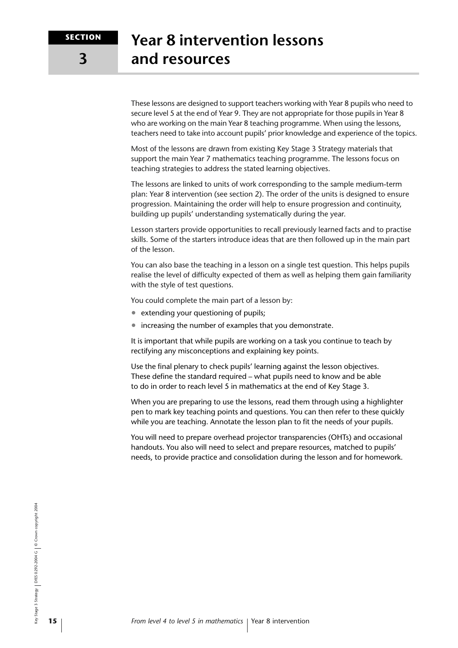**3**

These lessons are designed to support teachers working with Year 8 pupils who need to secure level 5 at the end of Year 9. They are not appropriate for those pupils in Year 8 who are working on the main Year 8 teaching programme. When using the lessons, teachers need to take into account pupils' prior knowledge and experience of the topics.

Most of the lessons are drawn from existing Key Stage 3 Strategy materials that support the main Year 7 mathematics teaching programme. The lessons focus on teaching strategies to address the stated learning objectives.

The lessons are linked to units of work corresponding to the sample medium-term plan: Year 8 intervention (see section 2). The order of the units is designed to ensure progression. Maintaining the order will help to ensure progression and continuity, building up pupils' understanding systematically during the year.

Lesson starters provide opportunities to recall previously learned facts and to practise skills. Some of the starters introduce ideas that are then followed up in the main part of the lesson.

You can also base the teaching in a lesson on a single test question. This helps pupils realise the level of difficulty expected of them as well as helping them gain familiarity with the style of test questions.

You could complete the main part of a lesson by:

- extending your questioning of pupils;
- increasing the number of examples that you demonstrate.

It is important that while pupils are working on a task you continue to teach by rectifying any misconceptions and explaining key points.

Use the final plenary to check pupils' learning against the lesson objectives. These define the standard required – what pupils need to know and be able to do in order to reach level 5 in mathematics at the end of Key Stage 3.

When you are preparing to use the lessons, read them through using a highlighter pen to mark key teaching points and questions. You can then refer to these quickly while you are teaching. Annotate the lesson plan to fit the needs of your pupils.

You will need to prepare overhead projector transparencies (OHTs) and occasional handouts. You also will need to select and prepare resources, matched to pupils' needs, to provide practice and consolidation during the lesson and for homework.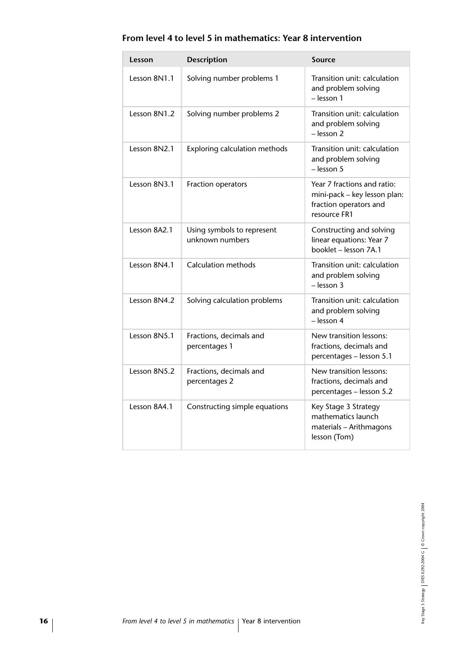| Lesson       | <b>Description</b>                            | <b>Source</b>                                                                                         |
|--------------|-----------------------------------------------|-------------------------------------------------------------------------------------------------------|
| Lesson 8N1.1 | Solving number problems 1                     | Transition unit: calculation<br>and problem solving<br>- lesson 1                                     |
| Lesson 8N1.2 | Solving number problems 2                     | Transition unit: calculation<br>and problem solving<br>- lesson 2                                     |
| Lesson 8N2.1 | Exploring calculation methods                 | Transition unit: calculation<br>and problem solving<br>- lesson 5                                     |
| Lesson 8N3.1 | Fraction operators                            | Year 7 fractions and ratio:<br>mini-pack - key lesson plan:<br>fraction operators and<br>resource FR1 |
| Lesson 8A2.1 | Using symbols to represent<br>unknown numbers | Constructing and solving<br>linear equations: Year 7<br>booklet - lesson 7A.1                         |
| Lesson 8N4.1 | Calculation methods                           | Transition unit: calculation<br>and problem solving<br>- lesson 3                                     |
| Lesson 8N4.2 | Solving calculation problems                  | Transition unit: calculation<br>and problem solving<br>- lesson 4                                     |
| Lesson 8N5.1 | Fractions, decimals and<br>percentages 1      | New transition lessons:<br>fractions, decimals and<br>percentages - lesson 5.1                        |
| Lesson 8N5.2 | Fractions, decimals and<br>percentages 2      | New transition lessons:<br>fractions, decimals and<br>percentages - lesson 5.2                        |
| Lesson 8A4.1 | Constructing simple equations                 | Key Stage 3 Strategy<br>mathematics launch<br>materials - Arithmagons<br>lesson (Tom)                 |

#### **From level 4 to level 5 in mathematics: Year 8 intervention**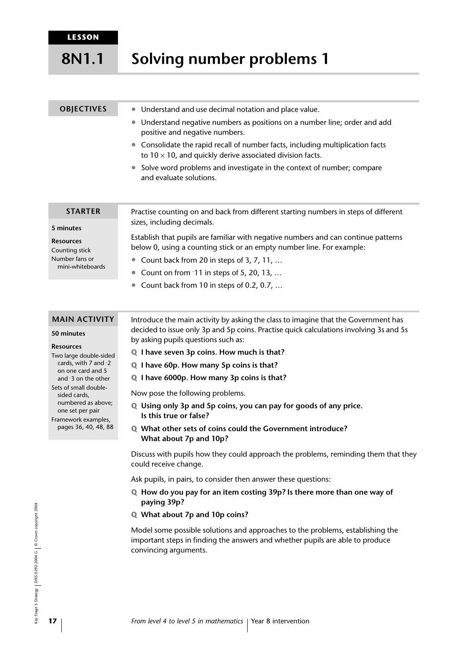#### **Solving number problems 1 8N1.1**

| <b>OBJECTIVES</b>                  | Understand and use decimal notation and place value.<br>$\bullet$                                                                                 |
|------------------------------------|---------------------------------------------------------------------------------------------------------------------------------------------------|
|                                    | Understand negative numbers as positions on a number line; order and add<br>positive and negative numbers.                                        |
|                                    | Consolidate the rapid recall of number facts, including multiplication facts<br>to $10 \times 10$ , and quickly derive associated division facts. |
|                                    | Solve word problems and investigate in the context of number; compare<br>and evaluate solutions.                                                  |
|                                    |                                                                                                                                                   |
| <b>STARTER</b>                     | Practise counting on and back from different starting numbers in steps of different                                                               |
| 5 minutes                          | sizes, including decimals.                                                                                                                        |
|                                    | Establish that pupils are familiar with negative numbers and can continue patterns                                                                |
| <b>Resources</b><br>Counting stick | below 0, using a counting stick or an empty number line. For example:                                                                             |
| Number fans or<br>mini-whiteboards | Count back from 20 in steps of 3, 7, 11,                                                                                                          |
|                                    | Count on from $-11$ in steps of 5, 20, 13,                                                                                                        |
|                                    | Count back from 10 in steps of 0.2, 0.7,                                                                                                          |
|                                    |                                                                                                                                                   |
| <b>MAIN ACTIVITY</b>               | Introduce the main activity by asking the class to imagine that the Government has                                                                |
|                                    | decided to issue only 2n and 5n seins. Drestise quick selsulations involving 2s and 5s.                                                           |

#### **50 minutes**

**5 minutes**

**Resources**

Two large double-sided cards, with 7 and – 2 on one card and 5 and – 3 on the other Sets of small doublesided cards, numbered as above; one set per pair Framework examples, pages 36, 40, 48, 88

decided to issue only 3p and 5p coins. Practise quick calculations involving 3s and 5s by asking pupils questions such as:

- **Q I have seven 3p coins. How much is that?**
- **Q I have 60p. How many 5p coins is that?**
- **Q I have 6000p. How many 3p coins is that?**

Now pose the following problems.

- **Q Using only 3p and 5p coins, you can pay for goods of any price. Is this true or false?**
- **Q What other sets of coins could the Government introduce? What about 7p and 10p?**

Discuss with pupils how they could approach the problems, reminding them that they could receive change.

Ask pupils, in pairs, to consider then answer these questions:

- **Q How do you pay for an item costing 39p? Is there more than one way of paying 39p?**
- **Q What about 7p and 10p coins?**

Model some possible solutions and approaches to the problems, establishing the important steps in finding the answers and whether pupils are able to produce convincing arguments.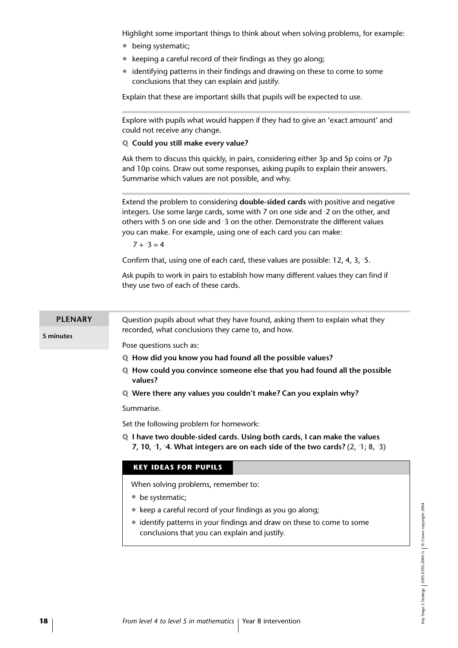Highlight some important things to think about when solving problems, for example:

- being systematic;
- keeping a careful record of their findings as they go along;
- identifying patterns in their findings and drawing on these to come to some conclusions that they can explain and justify.

Explain that these are important skills that pupils will be expected to use.

Explore with pupils what would happen if they had to give an 'exact amount' and could not receive any change.

#### **Q Could you still make every value?**

Ask them to discuss this quickly, in pairs, considering either 3p and 5p coins or 7p and 10p coins. Draw out some responses, asking pupils to explain their answers. Summarise which values are not possible, and why.

Extend the problem to considering **double-sided cards** with positive and negative integers. Use some large cards, some with 7 on one side and – 2 on the other, and others with 5 on one side and – 3 on the other. Demonstrate the different values you can make. For example, using one of each card you can make:

 $7 + -3 = 4$ 

Confirm that, using one of each card, these values are possible: 12, 4, 3, – 5.

Ask pupils to work in pairs to establish how many different values they can find if they use two of each of these cards.

Question pupils about what they have found, asking them to explain what they recorded, what conclusions they came to, and how. **PLENARY**

**5 minutes**

Pose questions such as:

- **Q How did you know you had found all the possible values?**
- **Q How could you convince someone else that you had found all the possible values?**

**Q Were there any values you couldn't make? Can you explain why?**

Summarise.

Set the following problem for homework:

**Q I have two double-sided cards. Using both cards, I can make the values 7, 10, – 1, – 4. What integers are on each side of the two cards?** (2, – 1; 8, – 3)

#### **KEY IDEAS FOR PUPILS**

When solving problems, remember to:

- be systematic:
- keep a careful record of your findings as you go along:
- identify patterns in your findings and draw on these to come to some conclusions that you can explain and justify.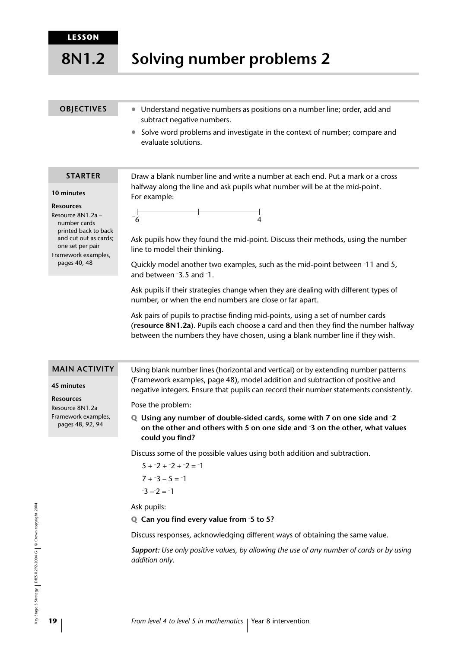**8N1.2**

## **Solving number problems 2**

#### **OBJECTIVES**

- Understand negative numbers as positions on a number line; order, add and subtract negative numbers.
- Solve word problems and investigate in the context of number; compare and evaluate solutions.

Draw a blank number line and write a number at each end. Put a mark or a cross halfway along the line and ask pupils what number will be at the mid-point.

#### **STARTER**

**10 minutes**

**Resources** Resource 8N1.2a – number cards printed back to back and cut out as cards; one set per pair Framework examples, pages 40, 48



Ask pupils how they found the mid-point. Discuss their methods, using the number line to model their thinking.

Quickly model another two examples, such as the mid-point between – 11 and 5, and between – 3.5 and – 1.

Ask pupils if their strategies change when they are dealing with different types of number, or when the end numbers are close or far apart.

Ask pairs of pupils to practise finding mid-points, using a set of number cards (**resource 8N1.2a**). Pupils each choose a card and then they find the number halfway between the numbers they have chosen, using a blank number line if they wish.

#### **MAIN ACTIVITY**

#### **45 minutes**

**Resources**

Resource 8N1.2a Framework examples, pages 48, 92, 94

Using blank number lines (horizontal and vertical) or by extending number patterns (Framework examples, page 48), model addition and subtraction of positive and negative integers. Ensure that pupils can record their number statements consistently.

Pose the problem:

For example:

**Q Using any number of double-sided cards, some with 7 on one side and – 2 on the other and others with 5 on one side and – 3 on the other, what values could you find?**

Discuss some of the possible values using both addition and subtraction.

```
5 + -2 + -2 + -2 = -17 + -3 - 5 = -1-3 - 2 = -1
```
Ask pupils:

#### **Q Can you find every value from – 5 to 5?**

Discuss responses, acknowledging different ways of obtaining the same value.

*Support: Use only positive values, by allowing the use of any number of cards or by using addition only*.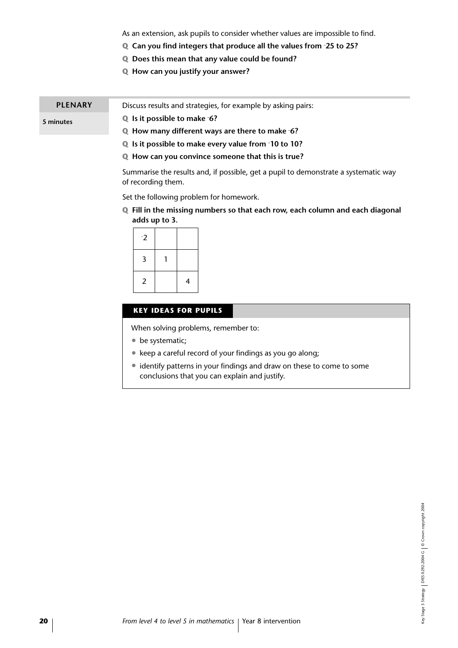As an extension, ask pupils to consider whether values are impossible to find.

- **Q Can you find integers that produce all the values from – 25 to 25?**
- **Q Does this mean that any value could be found?**
- **Q How can you justify your answer?**

#### Discuss results and strategies, for example by asking pairs: **PLENARY**

**Q Is it possible to make – 6?**

**5 minutes**

- **Q How many different ways are there to make – 6?**
- **Q Is it possible to make every value from – 10 to 10?**
- **Q How can you convince someone that this is true?**

Summarise the results and, if possible, get a pupil to demonstrate a systematic way of recording them.

Set the following problem for homework.

**Q Fill in the missing numbers so that each row, each column and each diagonal adds up to 3.**

| $-2$           |   |
|----------------|---|
| 3              |   |
| $\overline{2}$ | 4 |

#### **KEY IDEAS FOR PUPILS**

When solving problems, remember to:

- be systematic;
- keep a careful record of your findings as you go along;
- identify patterns in your findings and draw on these to come to some conclusions that you can explain and justify.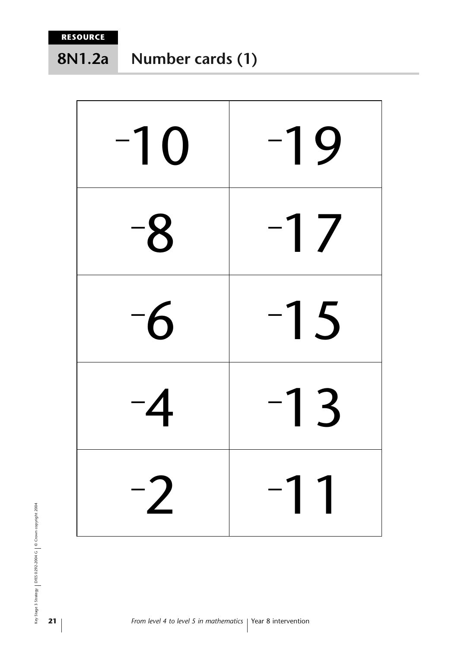**8N1.2a**

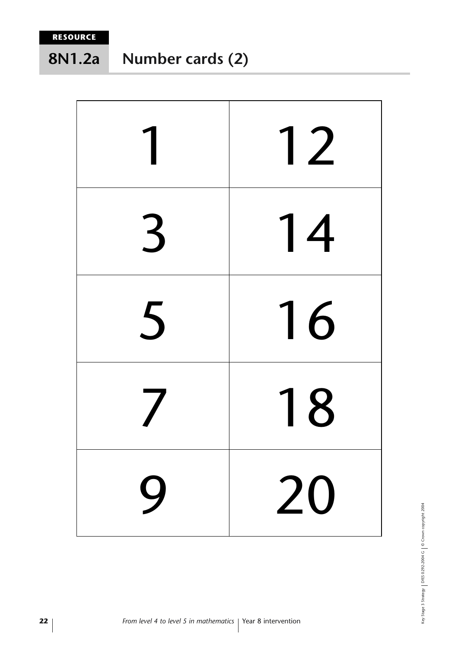#### **Number cards (2) 8N1.2a**



Key Stage 3 Strategy | DfES 0292-2004 G | © Crown copyright 2004 Key Stage 3 Strategy DfES 0292-2004 G © Crown copyright 2004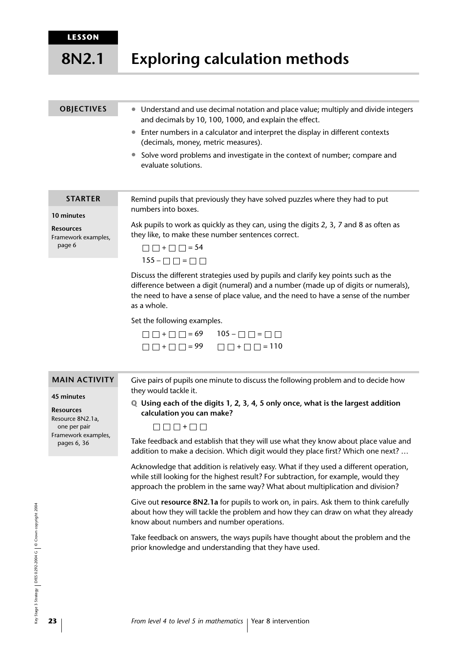#### **LESSON**

#### **Exploring calculation methods 8N2.1**

#### **OBJECTIVES**

• Understand and use decimal notation and place value; multiply and divide integers and decimals by 10, 100, 1000, and explain the effect.

- Enter numbers in a calculator and interpret the display in different contexts (decimals, money, metric measures).
- Solve word problems and investigate in the context of number; compare and evaluate solutions.

#### **STARTER**

**10 minutes**

**Resources** Framework examples, page 6

numbers into boxes. Ask pupils to work as quickly as they can, using the digits 2, 3, 7 and 8 as often as

Remind pupils that previously they have solved puzzles where they had to put

they like, to make these number sentences correct.



Discuss the different strategies used by pupils and clarify key points such as the difference between a digit (numeral) and a number (made up of digits or numerals), the need to have a sense of place value, and the need to have a sense of the number as a whole.

Set the following examples.

| $\Box \Box + \Box \Box = 69$ 105 - $\Box \Box = \Box \Box$      |
|-----------------------------------------------------------------|
| $\Box \Box + \Box \Box = 99 \qquad \Box \Box + \Box \Box = 110$ |

#### **MAIN ACTIVITY**

#### **45 minutes**

**Resources** Resource 8N2.1a, one per pair Framework examples, pages 6, 36

Give pairs of pupils one minute to discuss the following problem and to decide how they would tackle it.

**Q Using each of the digits 1, 2, 3, 4, 5 only once, what is the largest addition calculation you can make?**

Take feedback and establish that they will use what they know about place value and addition to make a decision. Which digit would they place first? Which one next? …

Acknowledge that addition is relatively easy. What if they used a different operation, while still looking for the highest result? For subtraction, for example, would they approach the problem in the same way? What about multiplication and division?

Give out **resource 8N2.1a** for pupils to work on, in pairs. Ask them to think carefully about how they will tackle the problem and how they can draw on what they already know about numbers and number operations.

Take feedback on answers, the ways pupils have thought about the problem and the prior knowledge and understanding that they have used.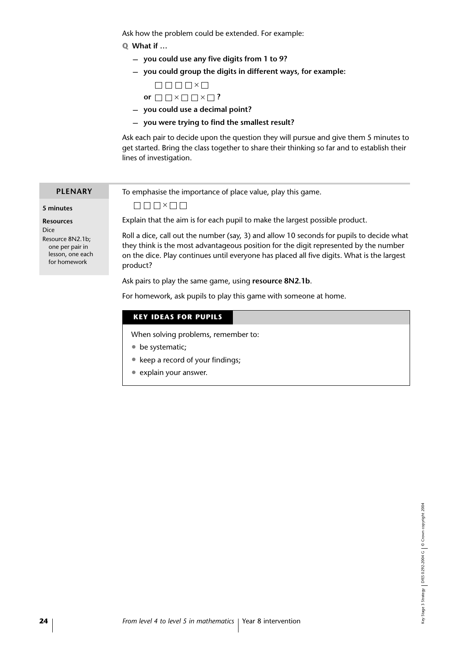Ask how the problem could be extended. For example:

#### **Q What if …**

- **you could use any five digits from 1 to 9?**
- **you could group the digits in different ways, for example:**
	- $\Box \Box \Box \Box \Box \times \Box$ **or**  $\square \square \times \square \square \times \square$ ?
- **you could use a decimal point?**
- **you were trying to find the smallest result?**

Ask each pair to decide upon the question they will pursue and give them 5 minutes to get started. Bring the class together to share their thinking so far and to establish their lines of investigation.

To emphasise the importance of place value, play this game.

#### **5 minutes**

**PLENARY**

**Resources** Dice Resource 8N2.1b; one per pair in lesson, one each

for homework

 $\Box \Box \Box \times \Box \Box$ 

Explain that the aim is for each pupil to make the largest possible product.

Roll a dice, call out the number (say, 3) and allow 10 seconds for pupils to decide what they think is the most advantageous position for the digit represented by the number on the dice. Play continues until everyone has placed all five digits. What is the largest product?

Ask pairs to play the same game, using **resource 8N2.1b**.

For homework, ask pupils to play this game with someone at home.

#### **KEY IDEAS FOR PUPILS**

When solving problems, remember to:

- be systematic;
- keep a record of your findings;
- explain your answer.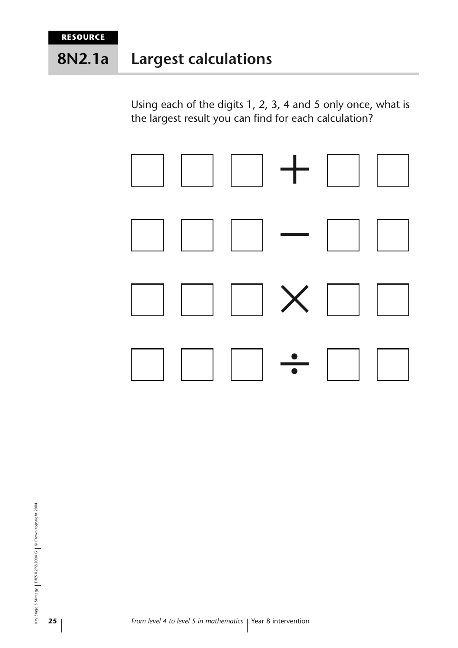#### **Largest calculations 8N2.1a**

Using each of the digits 1, 2, 3, 4 and 5 only once, what is the largest result you can find for each calculation?



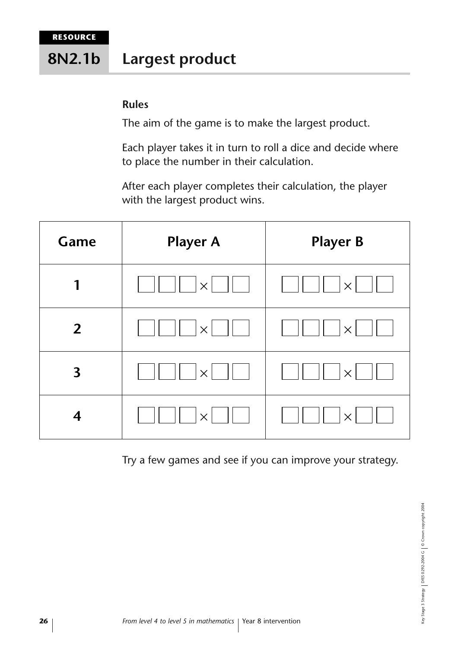#### **Largest product 8N2.1b**

### **Rules**

The aim of the game is to make the largest product.

Each player takes it in turn to roll a dice and decide where to place the number in their calculation.

After each player completes their calculation, the player with the largest product wins.

| Game                    | <b>Player A</b> | <b>Player B</b> |
|-------------------------|-----------------|-----------------|
| 1                       | $\times$        | $\times$        |
| $\overline{2}$          | $\times$        | $\times$        |
| $\overline{\mathbf{3}}$ | $\times$        | $\times$        |
| $\overline{\mathbf{4}}$ |                 | $\times$        |

Try a few games and see if you can improve your strategy.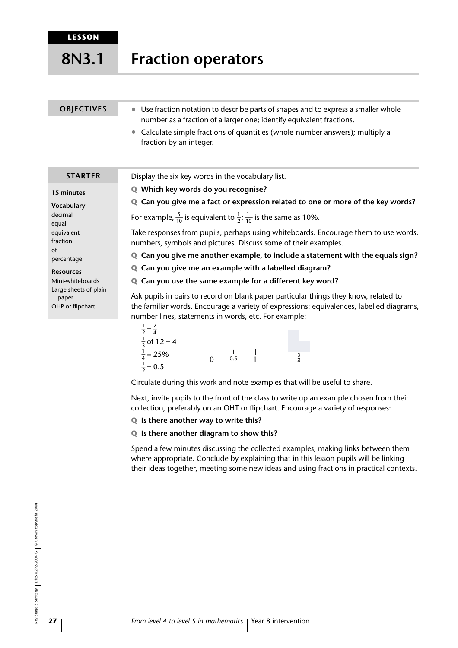#### **Fraction operators 8N3.1**

#### Use fraction notation to describe parts of shapes and to express a smaller whole number as a fraction of a larger one; identify equivalent fractions. **OBJECTIVES**

• Calculate simple fractions of quantities (whole-number answers); multiply a fraction by an integer.

#### **STARTER**

#### **15 minutes**

**Vocabulary** decimal equal equivalent fraction of percentage

#### **Resources**

Mini-whiteboards Large sheets of plain paper OHP or flipchart

Display the six key words in the vocabulary list.

- **Q Which key words do you recognise?**
- **Q Can you give me a fact or expression related to one or more of the key words?**

For example,  $\frac{5}{10}$  is equivalent to  $\frac{1}{2}$ ;  $\frac{1}{10}$  is the same as 10%.

Take responses from pupils, perhaps using whiteboards. Encourage them to use words, numbers, symbols and pictures. Discuss some of their examples.

**Q Can you give me another example, to include a statement with the equals sign?**

**Q Can you give me an example with a labelled diagram?**

**Q Can you use the same example for a different key word?**

Ask pupils in pairs to record on blank paper particular things they know, related to the familiar words. Encourage a variety of expressions: equivalences, labelled diagrams, number lines, statements in words, etc. For example:



Circulate during this work and note examples that will be useful to share.

Next, invite pupils to the front of the class to write up an example chosen from their collection, preferably on an OHT or flipchart. Encourage a variety of responses:

#### **Q Is there another way to write this?**

#### **Q Is there another diagram to show this?**

Spend a few minutes discussing the collected examples, making links between them where appropriate. Conclude by explaining that in this lesson pupils will be linking their ideas together, meeting some new ideas and using fractions in practical contexts.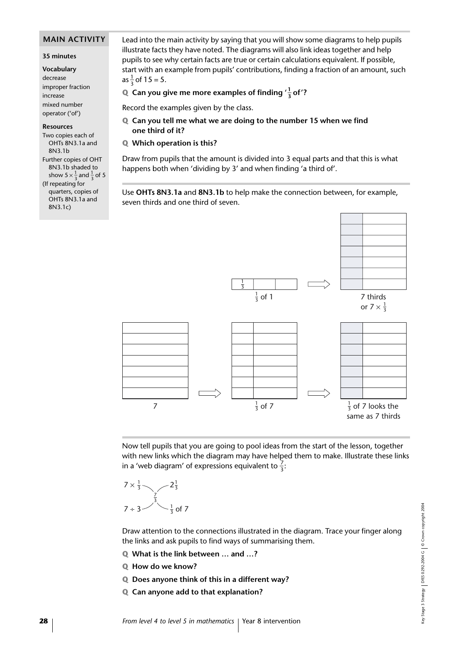#### **MAIN ACTIVITY**

#### **35 minutes**

**Vocabulary** decrease improper fraction increase mixed number operator ('of')

#### **Resources**

Two copies each of OHTs 8N3.1a and 8N3.1b Further copies of OHT 8N3.1b shaded to show  $5 \times \frac{1}{3}$  and  $\frac{1}{3}$  of 5 (If repeating for quarters, copies of OHTs 8N3.1a and 8N3.1c)

Lead into the main activity by saying that you will show some diagrams to help pupils illustrate facts they have noted. The diagrams will also link ideas together and help pupils to see why certain facts are true or certain calculations equivalent. If possible, start with an example from pupils' contributions, finding a fraction of an amount, such as  $\frac{1}{3}$  of 15 = 5.

### **Q** Can you give me more examples of finding  $'\frac{1}{3}$  of '?

Record the examples given by the class.

- **Q Can you tell me what we are doing to the number 15 when we find one third of it?**
- **Q Which operation is this?**

Draw from pupils that the amount is divided into 3 equal parts and that this is what happens both when 'dividing by 3' and when finding 'a third of'.

Use **OHTs 8N3.1a** and **8N3.1b** to help make the connection between, for example, seven thirds and one third of seven.



Now tell pupils that you are going to pool ideas from the start of the lesson, together with new links which the diagram may have helped them to make. Illustrate these links in a 'web diagram' of expressions equivalent to  $\frac{7}{3}$ :

$$
7 \times \frac{1}{3}
$$
  $2\frac{1}{3}$   
  $7 \div 3$   $3\frac{7}{3}$  of 7

Draw attention to the connections illustrated in the diagram. Trace your finger along the links and ask pupils to find ways of summarising them.

- **Q What is the link between … and …?**
- **Q How do we know?**
- **Q Does anyone think of this in a different way?**
- **Q Can anyone add to that explanation?**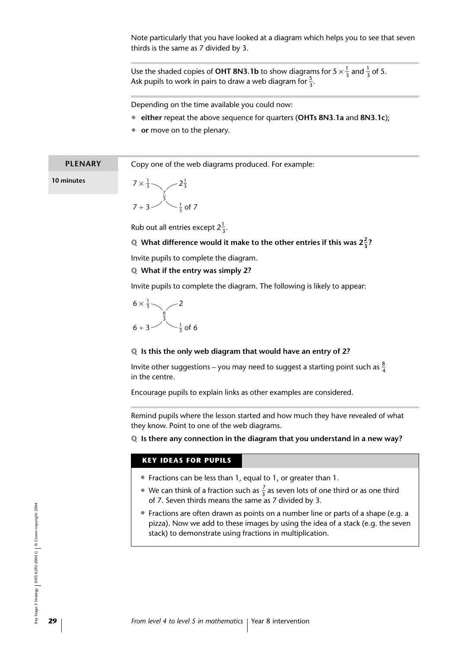Note particularly that you have looked at a diagram which helps you to see that seven thirds is the same as 7 divided by 3.

Use the shaded copies of **OHT 8N3.1b** to show diagrams for 5  $\times \frac{1}{3}$  and  $\frac{1}{3}$  of 5. Ask pupils to work in pairs to draw a web diagram for  $\frac{5}{3}$ .

Depending on the time available you could now:

- **either** repeat the above sequence for quarters (**OHTs 8N3.1a** and **8N3.1c**);
- **or** move on to the plenary.

| <b>PLENARY</b> | Copy one of the web diagrams produced. For example: |
|----------------|-----------------------------------------------------|
| 10 minutes     | $7 \times \frac{1}{3}$ $-2\frac{1}{3}$              |
|                | 7 ÷ 3 $\frac{1}{3}$ of 7                            |

Rub out all entries except  $2\frac{1}{3}$ .

### **Q** What difference would it make to the other entries if this was  $2\frac{2}{3}$ ?

Invite pupils to complete the diagram.

**Q What if the entry was simply 2?**

Invite pupils to complete the diagram. The following is likely to appear:

$$
\begin{array}{c|c}\n6 \times \frac{1}{3} & 2 \\
6 \div 3 & \frac{6}{3} \\
 & 3 & 3\n\end{array}
$$

#### **Q Is this the only web diagram that would have an entry of 2?**

Invite other suggestions – you may need to suggest a starting point such as  $\frac{8}{4}$ 4 in the centre.

Encourage pupils to explain links as other examples are considered.

Remind pupils where the lesson started and how much they have revealed of what they know. Point to one of the web diagrams.

**Q Is there any connection in the diagram that you understand in a new way?**

#### **KEY IDEAS FOR PUPILS**

- Fractions can be less than 1, equal to 1, or greater than 1.
- We can think of a fraction such as  $\frac{7}{3}$  as seven lots of one third or as one third of 7. Seven thirds means the same as 7 divided by 3.
- Fractions are often drawn as points on a number line or parts of a shape (e.g. a pizza). Now we add to these images by using the idea of a stack (e.g. the seven stack) to demonstrate using fractions in multiplication.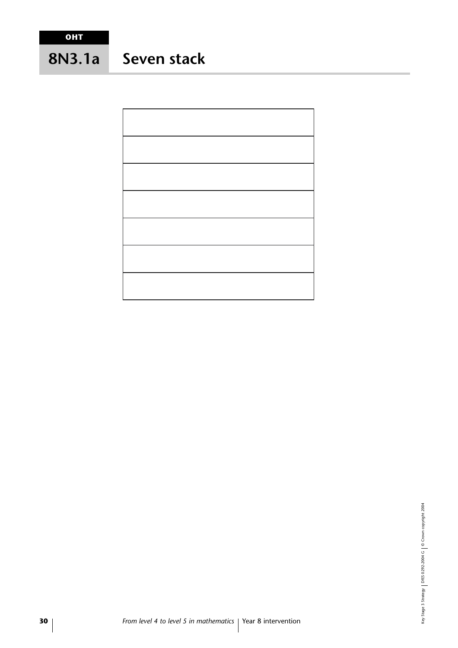# **Seven stack 8N3.1a**

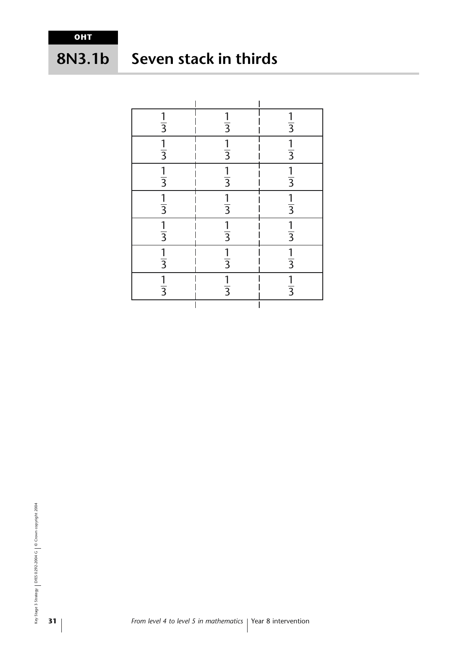# **8N3.1b**

# **Seven stack in thirds**

| $rac{1}{3}$   | $\frac{1}{3}$ | $\frac{1}{3}$ |
|---------------|---------------|---------------|
| $rac{1}{3}$   | $rac{1}{3}$   | $rac{1}{3}$   |
| $\frac{1}{3}$ | $\frac{1}{3}$ | $rac{1}{3}$   |
| $\frac{1}{3}$ | $\frac{1}{3}$ | $\frac{1}{3}$ |
| $\frac{1}{3}$ | $\frac{1}{3}$ | $\frac{1}{3}$ |
| $\frac{1}{3}$ | $\frac{1}{3}$ | $\frac{1}{3}$ |
| $\frac{1}{3}$ | $\frac{1}{3}$ | $\frac{1}{3}$ |
|               |               |               |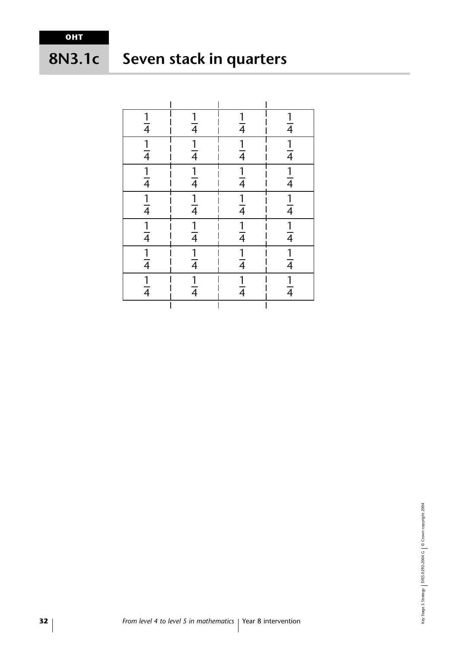#### **Seven stack in quarters 8N3.1c**

| $\frac{1}{4}$               | $\frac{1}{4}$               | $\frac{1}{4}$ | $\frac{1}{4}$ |
|-----------------------------|-----------------------------|---------------|---------------|
| $\frac{1}{4}$               | $\frac{1}{4}$               | $\frac{1}{4}$ | $\frac{1}{4}$ |
| $\frac{1}{4}$               | $\frac{1}{4}$               | $\frac{1}{4}$ | $\frac{1}{4}$ |
|                             | $\frac{1}{4}$ $\frac{1}{4}$ | $\frac{1}{4}$ | $\frac{1}{4}$ |
| $\frac{1}{4}$ $\frac{1}{4}$ |                             | $\frac{1}{4}$ | $\frac{1}{4}$ |
| $\frac{1}{4}$               | $\frac{1}{4}$               | $\frac{1}{4}$ | $\frac{1}{4}$ |
| $\frac{1}{4}$               | $\frac{1}{4}$               | $\frac{1}{4}$ | $\frac{1}{4}$ |
|                             |                             |               |               |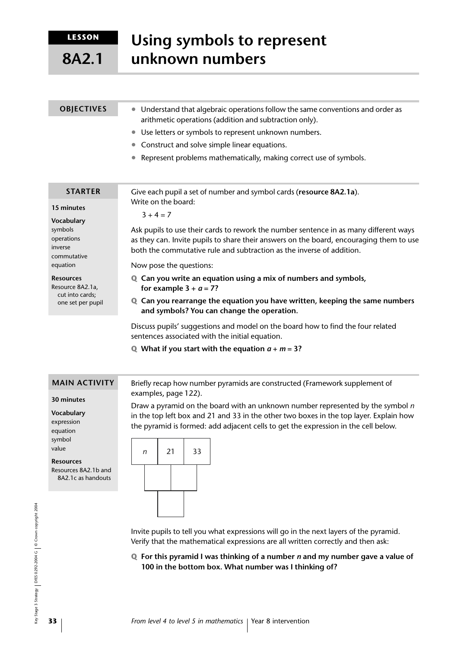**LESSON**

**8A2.1**

| <b>OBJECTIVES</b>                                                            | Understand that algebraic operations follow the same conventions and order as<br>$\bullet$<br>arithmetic operations (addition and subtraction only).                                                                                                      |  |  |
|------------------------------------------------------------------------------|-----------------------------------------------------------------------------------------------------------------------------------------------------------------------------------------------------------------------------------------------------------|--|--|
|                                                                              | Use letters or symbols to represent unknown numbers.<br>$\bullet$                                                                                                                                                                                         |  |  |
|                                                                              | Construct and solve simple linear equations.<br>$\bullet$                                                                                                                                                                                                 |  |  |
|                                                                              | Represent problems mathematically, making correct use of symbols.<br>$\bullet$                                                                                                                                                                            |  |  |
| <b>STARTER</b>                                                               | Give each pupil a set of number and symbol cards (resource 8A2.1a).<br>Write on the board:                                                                                                                                                                |  |  |
| 15 minutes                                                                   | $3 + 4 = 7$                                                                                                                                                                                                                                               |  |  |
| Vocabulary<br>symbols<br>operations<br>inverse<br>commutative                | Ask pupils to use their cards to rework the number sentence in as many different ways<br>as they can. Invite pupils to share their answers on the board, encouraging them to use<br>both the commutative rule and subtraction as the inverse of addition. |  |  |
| equation                                                                     | Now pose the questions:                                                                                                                                                                                                                                   |  |  |
| <b>Resources</b><br>Resource 8A2.1a,<br>cut into cards;<br>one set per pupil | <b>Q</b> Can you write an equation using a mix of numbers and symbols,<br>for example $3 + a = 7$ ?                                                                                                                                                       |  |  |
|                                                                              | Can you rearrange the equation you have written, keeping the same numbers<br>Q<br>and symbols? You can change the operation.                                                                                                                              |  |  |
|                                                                              | Discuss pupils' suggestions and model on the board how to find the four related<br>sentences associated with the initial equation.                                                                                                                        |  |  |

**Q** What if you start with the equation  $a + m = 3$ ?

#### **MAIN ACTIVITY**

**30 minutes**

**Vocabulary** expression equation symbol value

**Resources**

Resources 8A2.1b and 8A2.1c as handouts Briefly recap how number pyramids are constructed (Framework supplement of examples, page 122).

Draw a pyramid on the board with an unknown number represented by the symbol *n* in the top left box and 21 and 33 in the other two boxes in the top layer. Explain how the pyramid is formed: add adjacent cells to get the expression in the cell below.



Invite pupils to tell you what expressions will go in the next layers of the pyramid. Verify that the mathematical expressions are all written correctly and then ask:

**Q For this pyramid I was thinking of a number** *n* **and my number gave a value of 100 in the bottom box. What number was I thinking of?**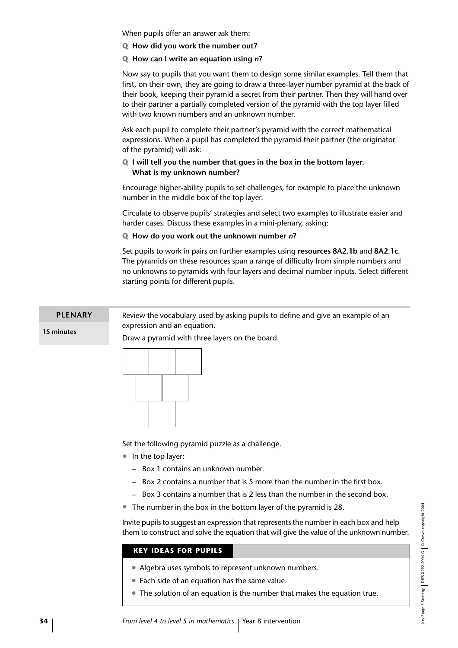When pupils offer an answer ask them:

**Q How did you work the number out?** 

#### **Q How can I write an equation using** *n***?**

Now say to pupils that you want them to design some similar examples. Tell them that first, on their own, they are going to draw a three-layer number pyramid at the back of their book, keeping their pyramid a secret from their partner. Then they will hand over to their partner a partially completed version of the pyramid with the top layer filled with two known numbers and an unknown number.

Ask each pupil to complete their partner's pyramid with the correct mathematical expressions. When a pupil has completed the pyramid their partner (the originator of the pyramid) will ask:

#### **Q I will tell you the number that goes in the box in the bottom layer. What is my unknown number?**

Encourage higher-ability pupils to set challenges, for example to place the unknown number in the middle box of the top layer.

Circulate to observe pupils' strategies and select two examples to illustrate easier and harder cases. Discuss these examples in a mini-plenary, asking:

#### **Q How do you work out the unknown number** *n***?**

Set pupils to work in pairs on further examples using **resources 8A2.1b** and **8A2.1c**. The pyramids on these resources span a range of difficulty from simple numbers and no unknowns to pyramids with four layers and decimal number inputs. Select different starting points for different pupils.

#### Review the vocabulary used by asking pupils to define and give an example of an expression and an equation. **PLENARY**

**15 minutes**



Draw a pyramid with three layers on the board.



Set the following pyramid puzzle as a challenge.

- In the top laver:
	- Box 1 contains an unknown number.
	- Box 2 contains a number that is 5 more than the number in the first box.
	- Box 3 contains a number that is 2 less than the number in the second box.
- The number in the box in the bottom layer of the pyramid is 28.

Invite pupils to suggest an expression that represents the number in each box and help them to construct and solve the equation that will give the value of the unknown number.

#### **KEY IDEAS FOR PUPILS**

- Algebra uses symbols to represent unknown numbers.
- Each side of an equation has the same value.
- The solution of an equation is the number that makes the equation true.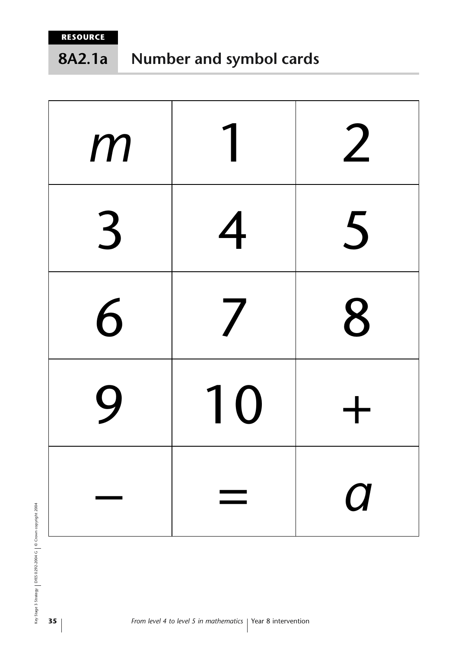#### **Number and symbol cards 8A2.1a**

| m              |    | 2        |
|----------------|----|----------|
| $\overline{3}$ | 4  | 5        |
| 6              | 7  | 8        |
| 9              | 10 |          |
|                |    | $\bm{C}$ |

key Stage 3 Strategy | DfES 0292-2004 G | © Crown copyright 2004 Key Stage 3 Strategy DfES 0292-2004 G © Crown copyright 2004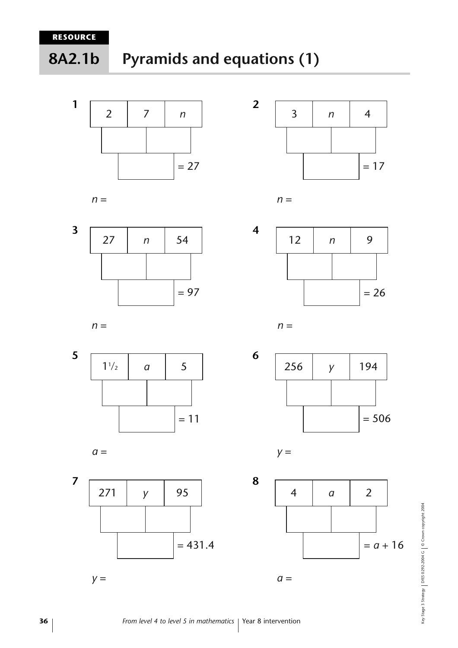**8A2.1b**

# **Pyramids and equations (1)**







$$
n =
$$







$$
n =
$$













Key Stage 3 Strategy | DfES 0292-2004 G | © Crown copyright 2004 Key Stage 3 Strategy DfES 0292-2004 G © Crown copyright 2004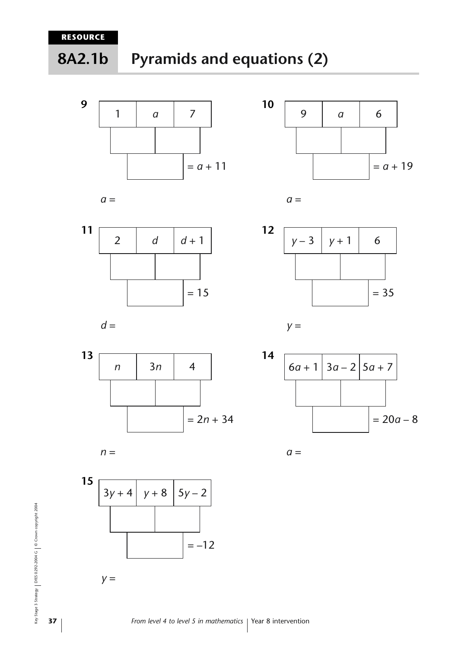





$$
a =
$$



*n* | 3*n* | 4



*n* =



$$
y =
$$







 $= 2n + 34$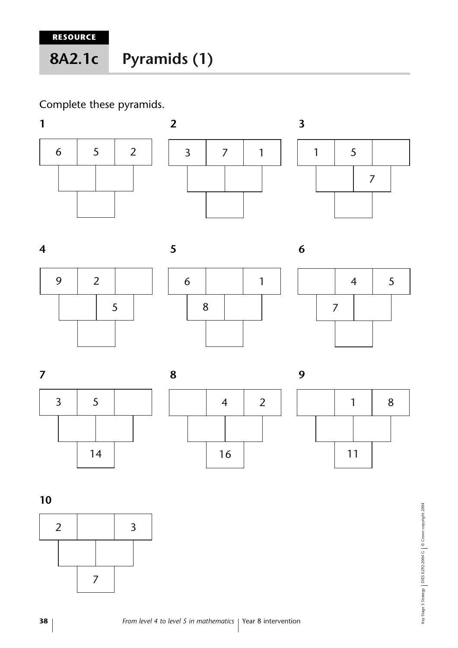# **Pyramids (1) 8A2.1c**

## Complete these pyramids.





















**10**

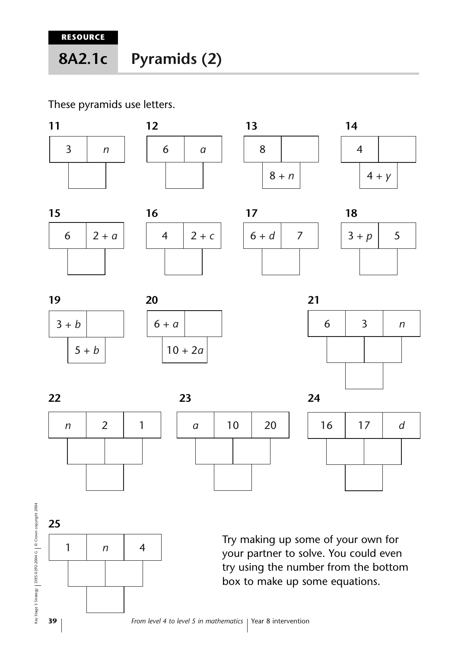#### **Pyramids (2) 8A2.1c**

These pyramids use letters.

































Try making up some of your own for your partner to solve. You could even try using the number from the bottom box to make up some equations.

Key Stage 3 Strategy DfES 0292-2004 G © Crown copyright 2004

Key Stage 3 Strategy | DfES 0292-2004 G | © Crown copyright 2004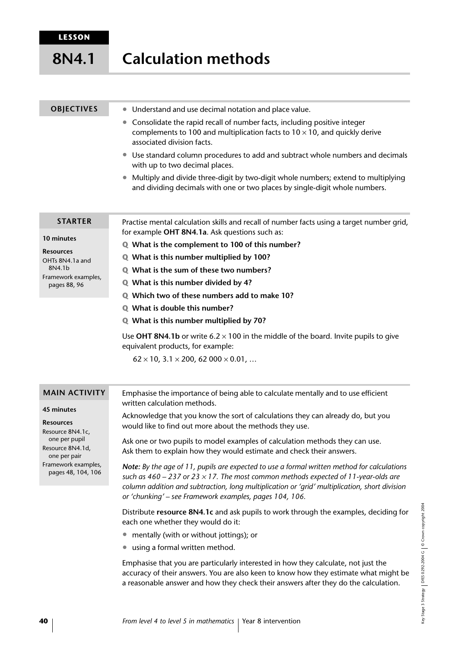#### **Calculation methods 8N4.1**

#### **OBJECTIVES**

- Understand and use decimal notation and place value.
- Consolidate the rapid recall of number facts, including positive integer complements to 100 and multiplication facts to  $10 \times 10$ , and quickly derive associated division facts.
- Use standard column procedures to add and subtract whole numbers and decimals with up to two decimal places.
- Multiply and divide three-digit by two-digit whole numbers; extend to multiplying and dividing decimals with one or two places by single-digit whole numbers.

#### **STARTER**

Framework examples, pages 88, 96

**10 minutes Resources** OHTs 8N4.1a and 8N4.1b

Practise mental calculation skills and recall of number facts using a target number grid, for example **OHT 8N4.1a**. Ask questions such as:

- **Q What is the complement to 100 of this number?**
- **Q What is this number multiplied by 100?**
- **Q What is the sum of these two numbers?**
- **Q What is this number divided by 4?**
- **Q Which two of these numbers add to make 10?**
- **Q What is double this number?**
- **Q What is this number multiplied by 70?**

Use **OHT 8N4.1b** or write  $6.2 \times 100$  in the middle of the board. Invite pupils to give equivalent products, for example:

 $62 \times 10$ ,  $3.1 \times 200$ ,  $62\,000 \times 0.01$ , ...

| <b>MAIN ACTIVITY</b>                                                                                                                                 | Emphasise the importance of being able to calculate mentally and to use efficient                                                                                                                                                                                                                                                                       |  |
|------------------------------------------------------------------------------------------------------------------------------------------------------|---------------------------------------------------------------------------------------------------------------------------------------------------------------------------------------------------------------------------------------------------------------------------------------------------------------------------------------------------------|--|
| 45 minutes<br><b>Resources</b><br>Resource 8N4.1c,<br>one per pupil<br>Resource 8N4.1d,<br>one per pair<br>Framework examples,<br>pages 48, 104, 106 | written calculation methods.<br>Acknowledge that you know the sort of calculations they can already do, but you<br>would like to find out more about the methods they use.                                                                                                                                                                              |  |
|                                                                                                                                                      | Ask one or two pupils to model examples of calculation methods they can use.<br>Ask them to explain how they would estimate and check their answers.                                                                                                                                                                                                    |  |
|                                                                                                                                                      | Note: By the age of 11, pupils are expected to use a formal written method for calculations<br>such as $460 - 237$ or $23 \times 17$ . The most common methods expected of 11-year-olds are<br>column addition and subtraction, long multiplication or 'grid' multiplication, short division<br>or 'chunking' - see Framework examples, pages 104, 106. |  |
|                                                                                                                                                      | Distribute resource 8N4.1c and ask pupils to work through the examples, deciding for<br>each one whether they would do it:                                                                                                                                                                                                                              |  |
|                                                                                                                                                      | mentally (with or without jottings); or                                                                                                                                                                                                                                                                                                                 |  |
|                                                                                                                                                      | • using a formal written method.                                                                                                                                                                                                                                                                                                                        |  |
|                                                                                                                                                      | Emphasise that you are particularly interested in how they calculate, not just the<br>accuracy of their answers. You are also keen to know how they estimate what might be<br>a reasonable answer and how they check their answers after they do the calculation.                                                                                       |  |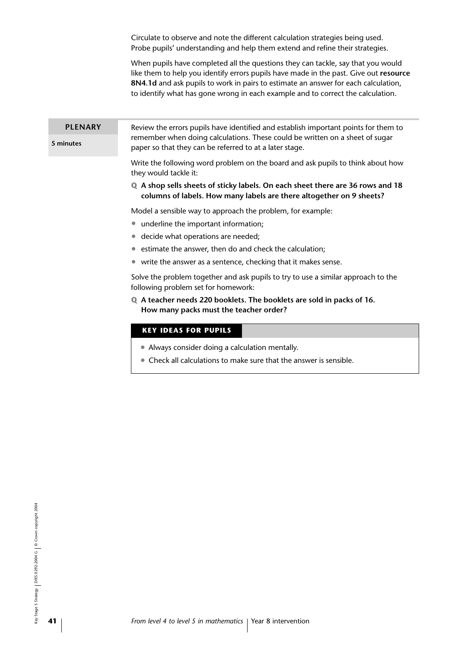Circulate to observe and note the different calculation strategies being used. Probe pupils' understanding and help them extend and refine their strategies.

When pupils have completed all the questions they can tackle, say that you would like them to help you identify errors pupils have made in the past. Give out **resource 8N4.1d** and ask pupils to work in pairs to estimate an answer for each calculation, to identify what has gone wrong in each example and to correct the calculation.

#### **5 minutes** Review the errors pupils have identified and establish important points for them to remember when doing calculations. These could be written on a sheet of sugar paper so that they can be referred to at a later stage. **PLENARY**

Write the following word problem on the board and ask pupils to think about how they would tackle it:

**Q A shop sells sheets of sticky labels. On each sheet there are 36 rows and 18 columns of labels. How many labels are there altogether on 9 sheets?**

Model a sensible way to approach the problem, for example:

- underline the important information;
- decide what operations are needed;
- estimate the answer, then do and check the calculation;
- write the answer as a sentence, checking that it makes sense.

Solve the problem together and ask pupils to try to use a similar approach to the following problem set for homework:

**Q A teacher needs 220 booklets. The booklets are sold in packs of 16. How many packs must the teacher order?**

#### **KEY IDEAS FOR PUPILS**

- Always consider doing a calculation mentally.
- Check all calculations to make sure that the answer is sensible.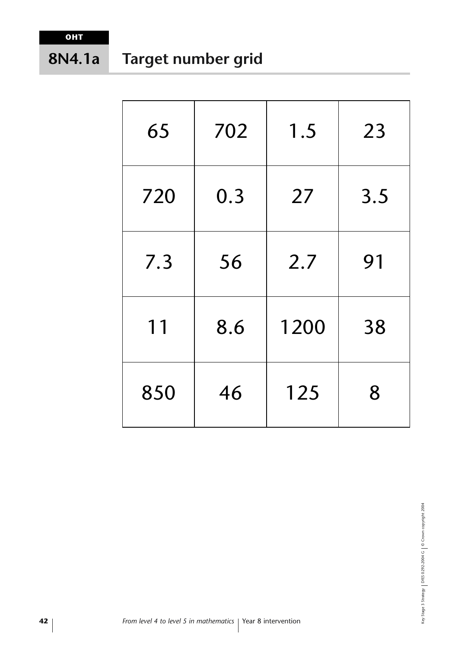#### **Target number grid 8N4.1a**

| 65  | 702 | 1.5  | 23  |
|-----|-----|------|-----|
| 720 | 0.3 | 27   | 3.5 |
| 7.3 | 56  | 2.7  | 91  |
| 11  | 8.6 | 1200 | 38  |
| 850 | 46  | 125  | 8   |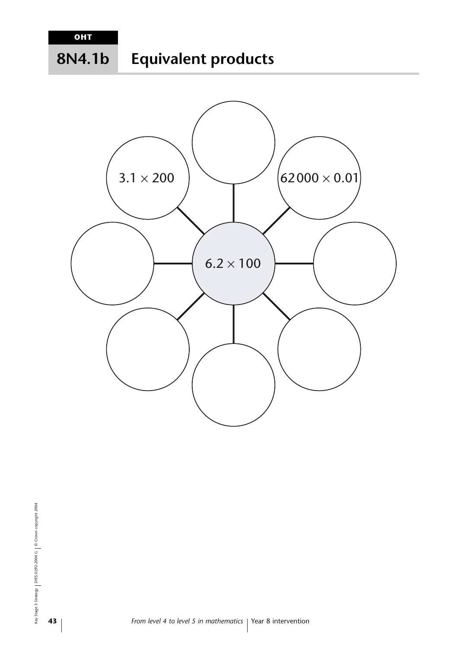#### **Equivalent products 8N4.1b**

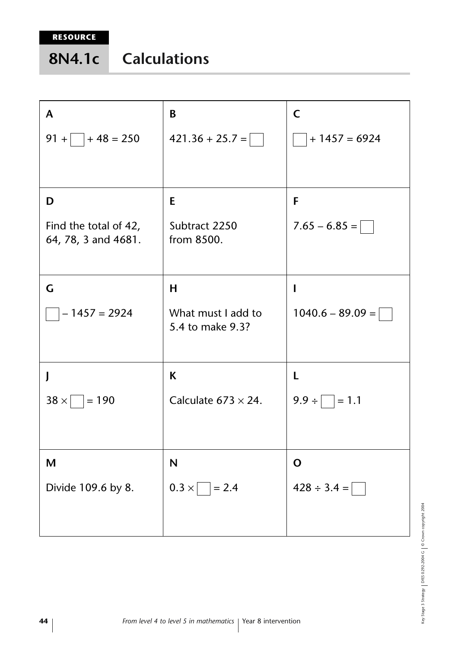| 8N4.1c | <b>Calculations</b> |
|--------|---------------------|
|        |                     |

| A                                            | B                                      | C                  |
|----------------------------------------------|----------------------------------------|--------------------|
| $91 +$ + 48 = 250                            | $421.36 + 25.7 =$                      | $+1457=6924$       |
|                                              |                                        |                    |
| D                                            | E                                      | F                  |
| Find the total of 42,<br>64, 78, 3 and 4681. | Subtract 2250<br>from 8500.            | $7.65 - 6.85 =$    |
|                                              |                                        |                    |
| G                                            | H                                      | I                  |
| $-1457 = 2924$                               | What must I add to<br>5.4 to make 9.3? | $1040.6 - 89.09 =$ |
| J                                            | K                                      | L                  |
| $ 38 \times  $ = 190                         | Calculate $673 \times 24$ .            | $9.9 \div   = 1.1$ |
|                                              |                                        |                    |
| M                                            | $\mathbf N$                            | $\mathbf O$        |
| Divide 109.6 by 8.                           | $0.3 \times$<br>$= 2.4$                | $428 \div 3.4 =$   |

Key Stage 3 Strategy | DfES 0292-2004 G | © Crown copyright 2004 Key Stage 3 Strategy DfES 0292-2004 G © Crown copyright 2004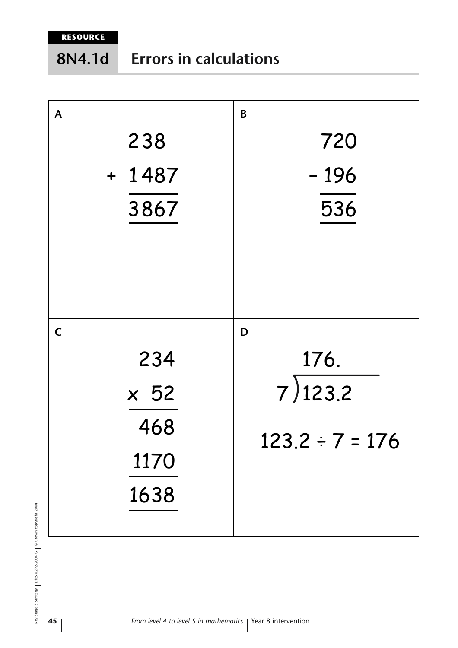**RESOURCE**

| A           | B                    |
|-------------|----------------------|
| 238         | 720                  |
| $+ 1487$    | $-196$               |
| 3867        | 536                  |
|             |                      |
|             |                      |
| $\mathsf C$ | D                    |
| 234         | 176.                 |
| $\times 52$ | 7)123.2              |
| 468         | $123.2 \div 7 = 176$ |
| 1170        |                      |
| 1638        |                      |
|             |                      |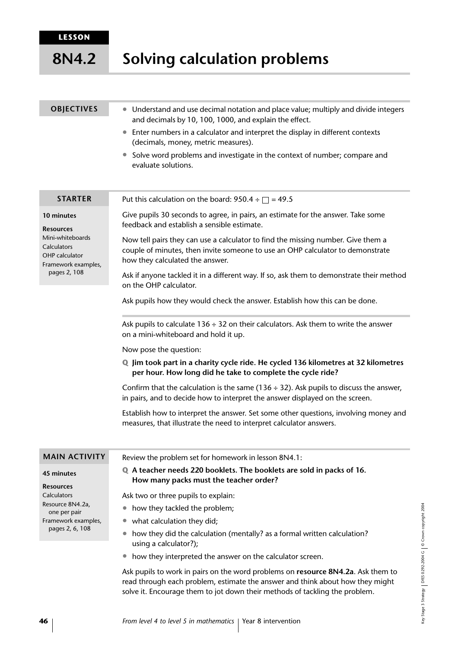#### **Solving calculation problems 8N4.2**

| <b>OBJECTIVES</b>                                                        | • Understand and use decimal notation and place value; multiply and divide integers<br>and decimals by 10, 100, 1000, and explain the effect.                                                         |
|--------------------------------------------------------------------------|-------------------------------------------------------------------------------------------------------------------------------------------------------------------------------------------------------|
|                                                                          | Enter numbers in a calculator and interpret the display in different contexts<br>$\bullet$<br>(decimals, money, metric measures).                                                                     |
|                                                                          | • Solve word problems and investigate in the context of number; compare and<br>evaluate solutions.                                                                                                    |
| <b>STARTER</b>                                                           | Put this calculation on the board: 950.4 ÷ $\Box$ = 49.5                                                                                                                                              |
| 10 minutes<br><b>Resources</b>                                           | Give pupils 30 seconds to agree, in pairs, an estimate for the answer. Take some<br>feedback and establish a sensible estimate.                                                                       |
| Mini-whiteboards<br>Calculators<br>OHP calculator<br>Framework examples, | Now tell pairs they can use a calculator to find the missing number. Give them a<br>couple of minutes, then invite someone to use an OHP calculator to demonstrate<br>how they calculated the answer. |
| pages 2, 108                                                             | Ask if anyone tackled it in a different way. If so, ask them to demonstrate their method<br>on the OHP calculator.                                                                                    |
|                                                                          | Ask pupils how they would check the answer. Establish how this can be done.                                                                                                                           |
|                                                                          | Ask pupils to calculate $136 \div 32$ on their calculators. Ask them to write the answer<br>on a mini-whiteboard and hold it up.                                                                      |
|                                                                          | Now pose the question:                                                                                                                                                                                |
|                                                                          | Q Jim took part in a charity cycle ride. He cycled 136 kilometres at 32 kilometres<br>per hour. How long did he take to complete the cycle ride?                                                      |
|                                                                          | Confirm that the calculation is the same (136 $\div$ 32). Ask pupils to discuss the answer,<br>in pairs, and to decide how to interpret the answer displayed on the screen.                           |
|                                                                          | Establish how to interpret the answer. Set some other questions, involving money and<br>measures, that illustrate the need to interpret calculator answers.                                           |
| <b>MAIN ACTIVITY</b>                                                     | Review the problem set for homework in lesson 8N4.1:                                                                                                                                                  |
| <b>45 minutes</b>                                                        | Q A teacher needs 220 booklets. The booklets are sold in packs of 16.                                                                                                                                 |
| <b>Resources</b>                                                         | How many packs must the teacher order?                                                                                                                                                                |
| Calculators                                                              | Ask two or three pupils to explain:                                                                                                                                                                   |
| Resource 8N4.2a.<br>one per pair                                         | how they tackled the problem;                                                                                                                                                                         |
| Framework examples,                                                      | what calculation they did;                                                                                                                                                                            |
| pages 2, 6, 108                                                          | how they did the calculation (mentally? as a formal written calculation?<br>using a calculator?);                                                                                                     |

• how they interpreted the answer on the calculator screen.

Ask pupils to work in pairs on the word problems on **resource 8N4.2a**. Ask them to read through each problem, estimate the answer and think about how they might solve it. Encourage them to jot down their methods of tackling the problem.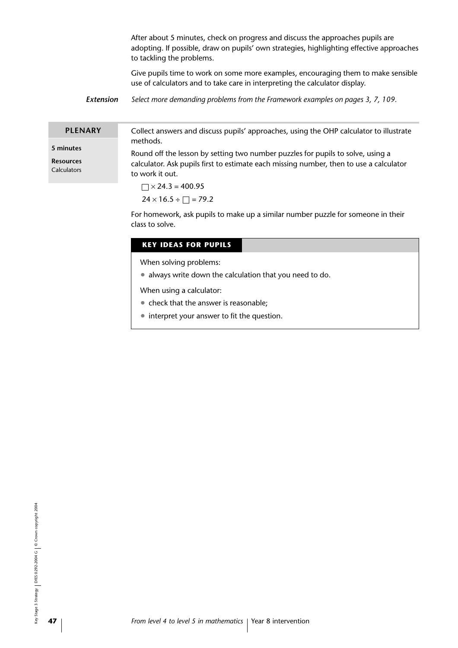After about 5 minutes, check on progress and discuss the approaches pupils are adopting. If possible, draw on pupils' own strategies, highlighting effective approaches to tackling the problems.

Give pupils time to work on some more examples, encouraging them to make sensible use of calculators and to take care in interpreting the calculator display.

*Extension Select more demanding problems from the Framework examples on pages 3, 7, 109.* 

| <b>PLENARY</b> | Collect answers and discuss pupils' approaches, using the OHP calculator to illustrate                                                                                                                                               |
|----------------|--------------------------------------------------------------------------------------------------------------------------------------------------------------------------------------------------------------------------------------|
|                | methods.                                                                                                                                                                                                                             |
| 5 minutes      | $\blacksquare$ , and in the contract of the contract of the contract of the contract of the contract of the contract of the contract of the contract of the contract of the contract of the contract of the contract of the contract |

**Resources**

**Calculators** 

Round off the lesson by setting two number puzzles for pupils to solve, using a calculator. Ask pupils first to estimate each missing number, then to use a calculator to work it out.

 $\Box \times 24.3 = 400.95$  $24 \times 16.5 \div \Box = 79.2$ 

For homework, ask pupils to make up a similar number puzzle for someone in their class to solve.

#### **KEY IDEAS FOR PUPILS**

When solving problems:

• always write down the calculation that you need to do.

When using a calculator:

- check that the answer is reasonable;
- interpret your answer to fit the question.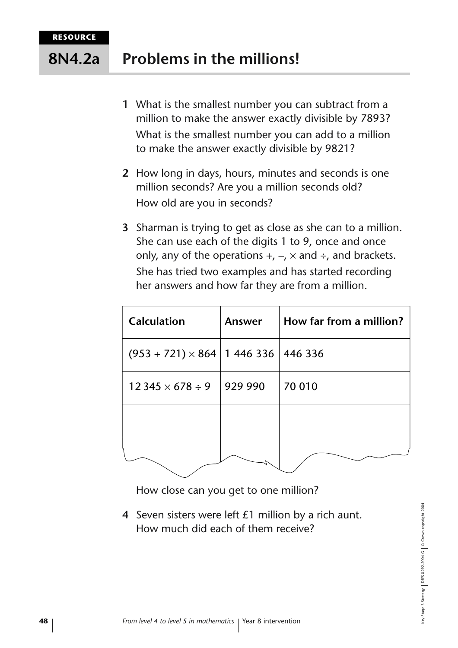#### **Problems in the millions! 8N4.2a**

- **1** What is the smallest number you can subtract from a million to make the answer exactly divisible by 7893? What is the smallest number you can add to a million to make the answer exactly divisible by 9821?
- **2** How long in days, hours, minutes and seconds is one million seconds? Are you a million seconds old? How old are you in seconds?
- **3** Sharman is trying to get as close as she can to a million. She can use each of the digits 1 to 9, once and once only, any of the operations  $+$ ,  $-$ ,  $\times$  and  $\div$ , and brackets. She has tried two examples and has started recording her answers and how far they are from a million.

| <b>Calculation</b>                             | Answer  | How far from a million? |
|------------------------------------------------|---------|-------------------------|
| $(953 + 721) \times 864$   1 446 336   446 336 |         |                         |
| $12345 \times 678 \div 9$                      | 929 990 | 70 010                  |
|                                                |         |                         |
|                                                |         |                         |

How close can you get to one million?

**4** Seven sisters were left £1 million by a rich aunt. How much did each of them receive?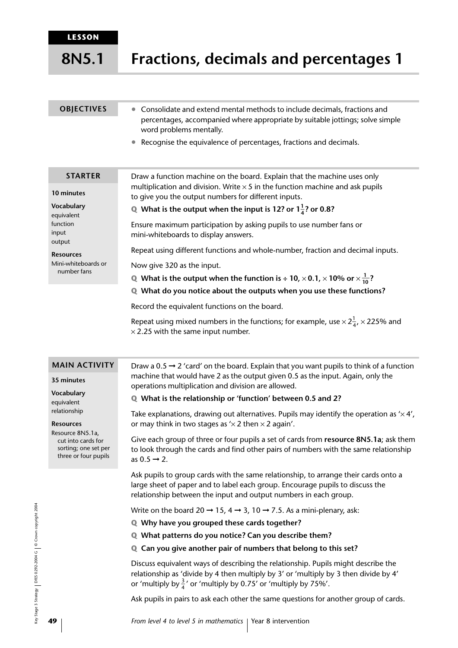**8N5.1**

**Fractions, decimals and percentages 1**

| <b>OBJECTIVES</b>                                                                         | Consolidate and extend mental methods to include decimals, fractions and<br>percentages, accompanied where appropriate by suitable jottings; solve simple<br>word problems mentally. |
|-------------------------------------------------------------------------------------------|--------------------------------------------------------------------------------------------------------------------------------------------------------------------------------------|
|                                                                                           | Recognise the equivalence of percentages, fractions and decimals.                                                                                                                    |
| <b>STARTER</b>                                                                            | Draw a function machine on the board. Explain that the machine uses only                                                                                                             |
| 10 minutes                                                                                | multiplication and division. Write $\times$ 5 in the function machine and ask pupils<br>to give you the output numbers for different inputs.                                         |
| Vocabulary<br>equivalent                                                                  | Q What is the output when the input is 12? or $1\frac{1}{4}$ ? or 0.8?                                                                                                               |
| function<br>input<br>output                                                               | Ensure maximum participation by asking pupils to use number fans or<br>mini-whiteboards to display answers.                                                                          |
| <b>Resources</b><br>Mini-whiteboards or<br>Now give 320 as the input.<br>number fans<br>Q | Repeat using different functions and whole-number, fraction and decimal inputs.                                                                                                      |
|                                                                                           |                                                                                                                                                                                      |
|                                                                                           | What is the output when the function is $\div$ 10, $\times$ 0.1, $\times$ 10% or $\times\frac{1}{10}$ ?                                                                              |
|                                                                                           | Q What do you notice about the outputs when you use these functions?                                                                                                                 |
|                                                                                           | Record the equivalent functions on the board.                                                                                                                                        |

Repeat using mixed numbers in the functions; for example, use  $\times$  2 $\frac{1}{4}$ ,  $\times$  225% and  $\times$  2.25 with the same input number.

#### **MAIN ACTIVITY**

**35 minutes**

**Vocabulary** equivalent relationship

#### **Resources**

Resource 8N5.1a, cut into cards for sorting; one set per three or four pupils Draw a 0.5  $\rightarrow$  2 'card' on the board. Explain that you want pupils to think of a function machine that would have 2 as the output given 0.5 as the input. Again, only the operations multiplication and division are allowed.

#### **Q What is the relationship or 'function' between 0.5 and 2?**

Take explanations, drawing out alternatives. Pupils may identify the operation as  $\times$  4', or may think in two stages as  $\frac{1}{2}$  then  $\times$  2 again'.

Give each group of three or four pupils a set of cards from **resource 8N5.1a**; ask them to look through the cards and find other pairs of numbers with the same relationship as  $0.5 \rightarrow 2$ .

Ask pupils to group cards with the same relationship, to arrange their cards onto a large sheet of paper and to label each group. Encourage pupils to discuss the relationship between the input and output numbers in each group.

Write on the board 20  $\rightarrow$  15, 4  $\rightarrow$  3, 10  $\rightarrow$  7.5. As a mini-plenary, ask:

- **Q Why have you grouped these cards together?**
- **Q What patterns do you notice? Can you describe them?**
- **Q Can you give another pair of numbers that belong to this set?**

Discuss equivalent ways of describing the relationship. Pupils might describe the relationship as 'divide by 4 then multiply by 3' or 'multiply by 3 then divide by 4' or 'multiply by  $\frac{3}{4}$ ' or 'multiply by 0.75' or 'multiply by 75%'.

Ask pupils in pairs to ask each other the same questions for another group of cards.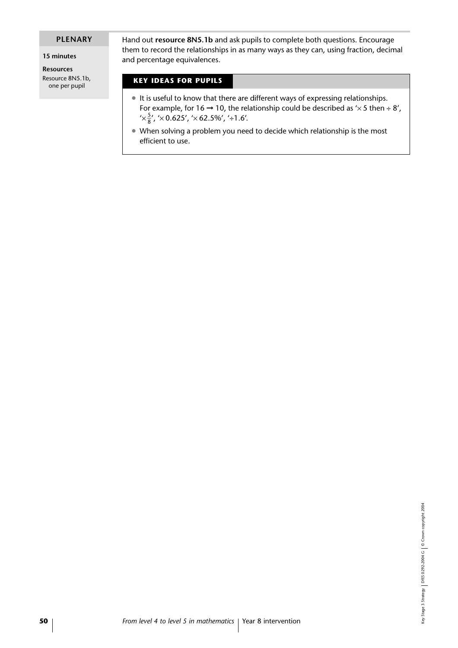#### **PLENARY**

**15 minutes**

**Resources** Resource 8N5.1b, one per pupil

Hand out **resource 8N5.1b** and ask pupils to complete both questions. Encourage them to record the relationships in as many ways as they can, using fraction, decimal and percentage equivalences.

#### **KEY IDEAS FOR PUPILS**

- It is useful to know that there are different ways of expressing relationships. For example, for 16  $\rightarrow$  10, the relationship could be described as ' $\times$  5 then  $\div$  8',  $'\times\frac{5}{8}$ ', ' $\times$  0.625', ' $\times$  62.5%', '÷1.6'.
- When solving a problem you need to decide which relationship is the most efficient to use.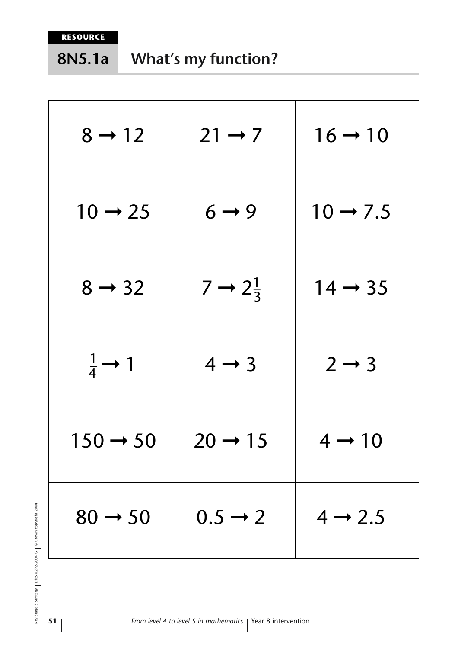#### **What's my function? 8N5.1a**

| $8 \rightarrow 12$          | $21 \rightarrow 7$           | $16 \rightarrow 10$  |
|-----------------------------|------------------------------|----------------------|
| $10 \rightarrow 25$         | $6 \rightarrow 9$            | $10 \rightarrow 7.5$ |
| $8 \rightarrow 32$          | $7 \rightarrow 2\frac{1}{3}$ | $14 \rightarrow 35$  |
| $\frac{1}{4} \rightarrow 1$ | $4 \rightarrow 3$            | $2 \rightarrow 3$    |
| $150 \rightarrow 50$        | $20 \rightarrow 15$          | $4 \rightarrow 10$   |
| $80 \rightarrow 50$         | $0.5 \rightarrow 2$          | $4 \rightarrow 2.5$  |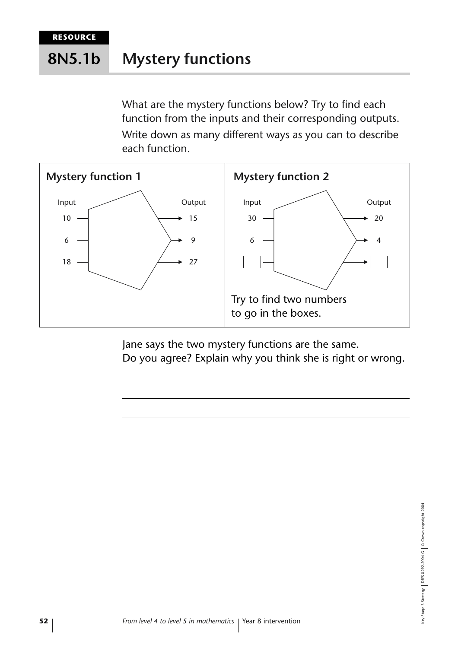#### **Mystery functions 8N5.1b**

What are the mystery functions below? Try to find each function from the inputs and their corresponding outputs. Write down as many different ways as you can to describe each function.



Jane says the two mystery functions are the same. Do you agree? Explain why you think she is right or wrong.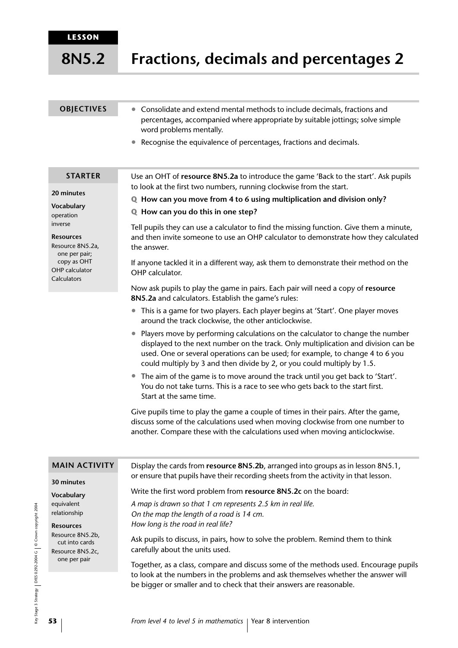**8N5.2**

| <b>OBJECTIVES</b> | • Consolidate and extend mental methods to include decimals, fractions and    |
|-------------------|-------------------------------------------------------------------------------|
|                   | percentages, accompanied where appropriate by suitable jottings; solve simple |

• Recognise the equivalence of percentages, fractions and decimals.

**STARTER**

Use an OHT of **resource 8N5.2a** to introduce the game 'Back to the start'. Ask pupils to look at the first two numbers, running clockwise from the start.

- **Q How can you move from 4 to 6 using multiplication and division only?**
- **Q How can you do this in one step?**

word problems mentally.

Tell pupils they can use a calculator to find the missing function. Give them a minute, and then invite someone to use an OHP calculator to demonstrate how they calculated the answer.

If anyone tackled it in a different way, ask them to demonstrate their method on the OHP calculator.

Now ask pupils to play the game in pairs. Each pair will need a copy of **resource 8N5.2a** and calculators. Establish the game's rules:

- This is a game for two players. Each player begins at 'Start'. One player moves around the track clockwise, the other anticlockwise.
- Players move by performing calculations on the calculator to change the number displayed to the next number on the track. Only multiplication and division can be used. One or several operations can be used; for example, to change 4 to 6 you could multiply by 3 and then divide by 2, or you could multiply by 1.5.
- The aim of the game is to move around the track until you get back to 'Start'. You do not take turns. This is a race to see who gets back to the start first. Start at the same time.

Give pupils time to play the game a couple of times in their pairs. After the game, discuss some of the calculations used when moving clockwise from one number to another. Compare these with the calculations used when moving anticlockwise.

Display the cards from **resource 8N5.2b**, arranged into groups as in lesson 8N5.1, or ensure that pupils have their recording sheets from the activity in that lesson.

#### **MAIN ACTIVITY**

**30 minutes Vocabulary**

equivalent relationship **Resources** Resource 8N5.2b, cut into cards Resource 8N5.2c, one per pair

Write the first word problem from **resource 8N5.2c** on the board:

*A map is drawn so that 1 cm represents 2.5 km in real life. On the map the length of a road is 14 cm. How long is the road in real life?* 

Ask pupils to discuss, in pairs, how to solve the problem. Remind them to think carefully about the units used.

Together, as a class, compare and discuss some of the methods used. Encourage pupils to look at the numbers in the problems and ask themselves whether the answer will be bigger or smaller and to check that their answers are reasonable.

ey Stage 3 Strategy | DfES 0292-2004 G | © Crown copyright 2004 Key Stage 3 Strategy DfES 0292-2004 G © Crown copyright 2004

operation inverse

**Resources** Resource 8N5.2a, one per pair; copy as OHT OHP calculator Calculators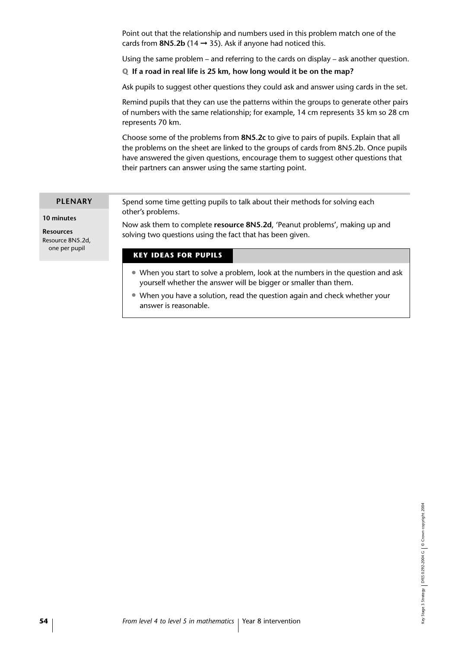Point out that the relationship and numbers used in this problem match one of the cards from **8N5.2b** (14  $\rightarrow$  35). Ask if anyone had noticed this.

Using the same problem – and referring to the cards on display – ask another question.

**Q If a road in real life is 25 km, how long would it be on the map?**

Ask pupils to suggest other questions they could ask and answer using cards in the set.

Remind pupils that they can use the patterns within the groups to generate other pairs of numbers with the same relationship; for example, 14 cm represents 35 km so 28 cm represents 70 km.

Choose some of the problems from **8N5.2c** to give to pairs of pupils. Explain that all the problems on the sheet are linked to the groups of cards from 8N5.2b. Once pupils have answered the given questions, encourage them to suggest other questions that their partners can answer using the same starting point.

#### **PLENARY**

**10 minutes**

**Resources** Resource 8N5.2d, one per pupil

Spend some time getting pupils to talk about their methods for solving each other's problems.

Now ask them to complete **resource 8N5.2d**, 'Peanut problems', making up and solving two questions using the fact that has been given.

#### **KEY IDEAS FOR PUPILS**

- When you start to solve a problem, look at the numbers in the question and ask yourself whether the answer will be bigger or smaller than them.
- When you have a solution, read the question again and check whether your answer is reasonable.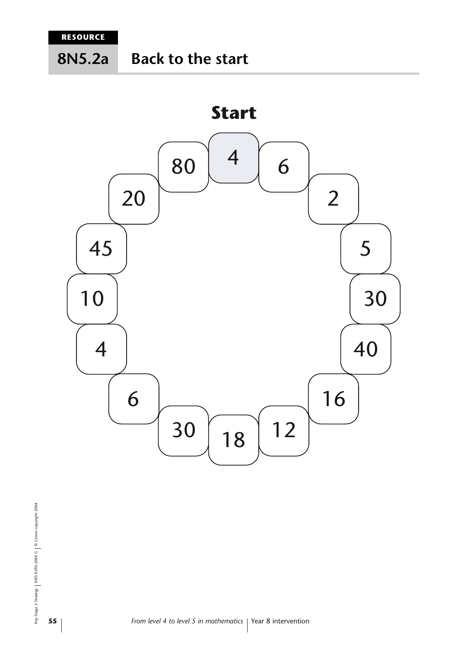**8N5.2a**

## **Back to the start**

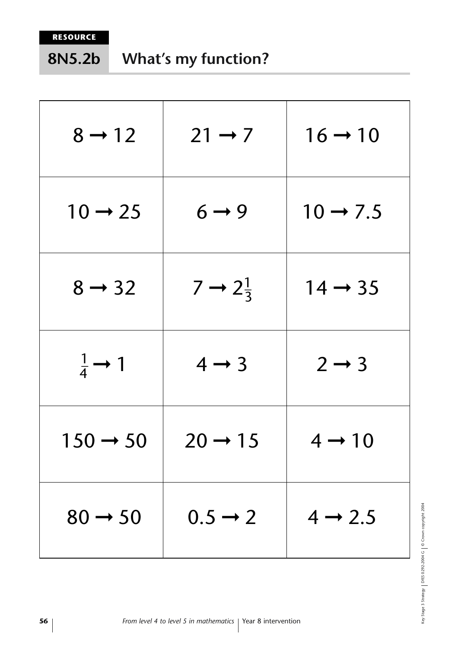#### **What's my function? 8N5.2b**

| $8 \rightarrow 12$        | $21 \rightarrow 7$           | $16 \rightarrow 10$  |
|---------------------------|------------------------------|----------------------|
| $10 \rightarrow 25$       | $6 \rightarrow 9$            | $10 \rightarrow 7.5$ |
| $8 \rightarrow 32$        | $7 \rightarrow 2\frac{1}{3}$ | $14 \rightarrow 35$  |
| $rac{1}{4} \rightarrow 1$ | $4 \rightarrow 3$            | $2 \rightarrow 3$    |
| $150 \rightarrow 50$      | $20 \rightarrow 15$          | $4 \rightarrow 10$   |
| $80 \rightarrow 50$       | $0.5 \rightarrow 2$          | $4 \rightarrow 2.5$  |

Key Stage 3 Strategy | DfES 0292-2004 G | © Crown copyright 2004 Key Stage 3 Strategy DfES 0292-2004 G © Crown copyright 2004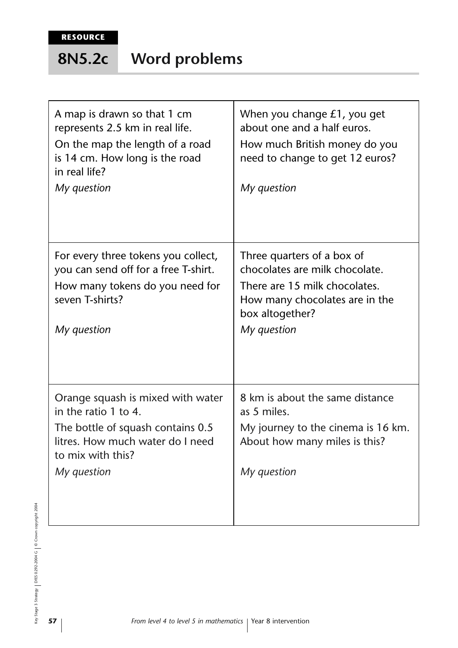#### **Word problems 8N5.2c**

| A map is drawn so that 1 cm<br>represents 2.5 km in real life.<br>On the map the length of a road<br>is 14 cm. How long is the road<br>in real life?<br>My question    | When you change £1, you get<br>about one and a half euros.<br>How much British money do you<br>need to change to get 12 euros?<br>My question                     |
|------------------------------------------------------------------------------------------------------------------------------------------------------------------------|-------------------------------------------------------------------------------------------------------------------------------------------------------------------|
| For every three tokens you collect,<br>you can send off for a free T-shirt.<br>How many tokens do you need for<br>seven T-shirts?<br>My question                       | Three quarters of a box of<br>chocolates are milk chocolate.<br>There are 15 milk chocolates.<br>How many chocolates are in the<br>box altogether?<br>My question |
| Orange squash is mixed with water<br>in the ratio 1 to 4.<br>The bottle of squash contains 0.5<br>litres. How much water do I need<br>to mix with this?<br>My question | 8 km is about the same distance<br>as 5 miles.<br>My journey to the cinema is 16 km.<br>About how many miles is this?<br>My question                              |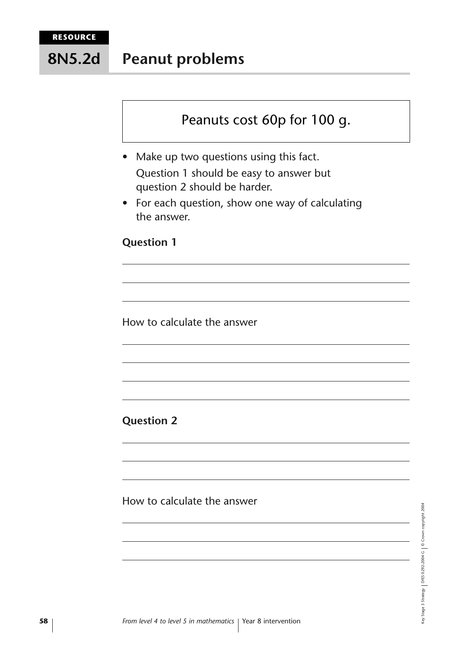**Peanut problems 8N5.2d**

## Peanuts cost 60p for 100 g.

- Make up two questions using this fact. Question 1 should be easy to answer but question 2 should be harder.
- For each question, show one way of calculating the answer.

### **Question 1**

How to calculate the answer

### **Question 2**

How to calculate the answer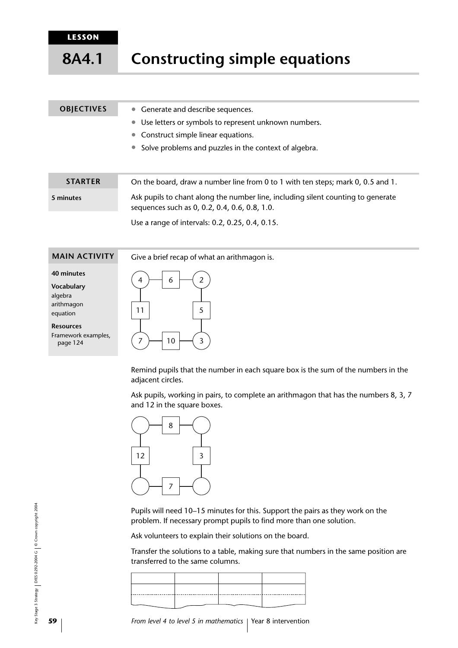**LESSON**

**8A4.1**

## **Constructing simple equations**

#### • Generate and describe sequences. • Use letters or symbols to represent unknown numbers. • Construct simple linear equations. **OBJECTIVES**

• Solve problems and puzzles in the context of algebra.

| <b>STARTER</b> | On the board, draw a number line from 0 to 1 with ten steps; mark 0, 0.5 and 1.                                                   |
|----------------|-----------------------------------------------------------------------------------------------------------------------------------|
| 5 minutes      | Ask pupils to chant along the number line, including silent counting to generate<br>sequences such as 0, 0.2, 0.4, 0.6, 0.8, 1.0. |
|                |                                                                                                                                   |

Use a range of intervals: 0.2, 0.25, 0.4, 0.15.

#### **MAIN ACTIVITY**

Give a brief recap of what an arithmagon is.

#### **40 minutes**

**Vocabulary** algebra arithmagon equation

**Resources**

Framework examples, page 124



Remind pupils that the number in each square box is the sum of the numbers in the adjacent circles.

Ask pupils, working in pairs, to complete an arithmagon that has the numbers 8, 3, 7 and 12 in the square boxes.



Pupils will need 10–15 minutes for this. Support the pairs as they work on the problem. If necessary prompt pupils to find more than one solution.

Ask volunteers to explain their solutions on the board.

Transfer the solutions to a table, making sure that numbers in the same position are transferred to the same columns.